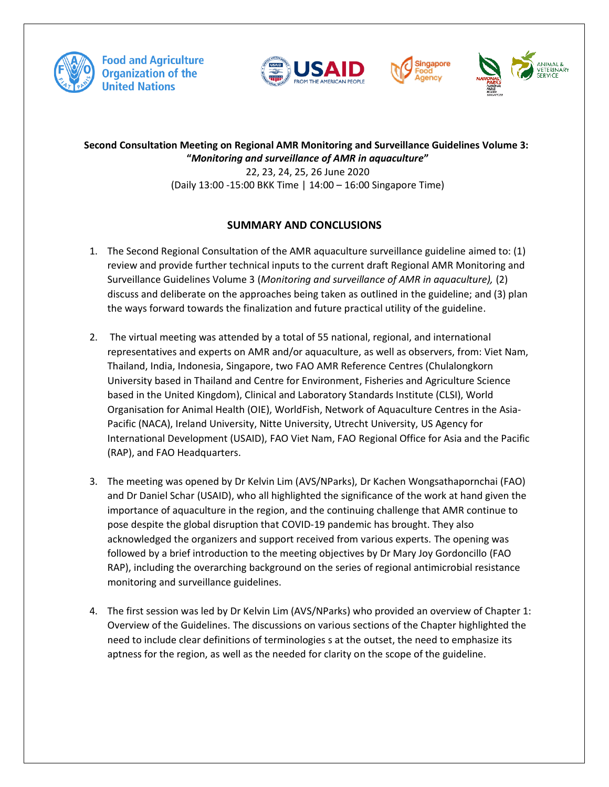







**Second Consultation Meeting on Regional AMR Monitoring and Surveillance Guidelines Volume 3: "***Monitoring and surveillance of AMR in aquaculture***"** 22, 23, 24, 25, 26 June 2020 (Daily 13:00 -15:00 BKK Time | 14:00 – 16:00 Singapore Time)

# **SUMMARY AND CONCLUSIONS**

- 1. The Second Regional Consultation of the AMR aquaculture surveillance guideline aimed to: (1) review and provide further technical inputs to the current draft Regional AMR Monitoring and Surveillance Guidelines Volume 3 (*Monitoring and surveillance of AMR in aquaculture),* (2) discuss and deliberate on the approaches being taken as outlined in the guideline; and (3) plan the ways forward towards the finalization and future practical utility of the guideline.
- 2. The virtual meeting was attended by a total of 55 national, regional, and international representatives and experts on AMR and/or aquaculture, as well as observers, from: Viet Nam, Thailand, India, Indonesia, Singapore, two FAO AMR Reference Centres (Chulalongkorn University based in Thailand and Centre for Environment, Fisheries and Agriculture Science based in the United Kingdom), Clinical and Laboratory Standards Institute (CLSI), World Organisation for Animal Health (OIE), WorldFish, Network of Aquaculture Centres in the Asia-Pacific (NACA), Ireland University, Nitte University, Utrecht University, US Agency for International Development (USAID), FAO Viet Nam, FAO Regional Office for Asia and the Pacific (RAP), and FAO Headquarters.
- 3. The meeting was opened by Dr Kelvin Lim (AVS/NParks), Dr Kachen Wongsathapornchai (FAO) and Dr Daniel Schar (USAID), who all highlighted the significance of the work at hand given the importance of aquaculture in the region, and the continuing challenge that AMR continue to pose despite the global disruption that COVID-19 pandemic has brought. They also acknowledged the organizers and support received from various experts. The opening was followed by a brief introduction to the meeting objectives by Dr Mary Joy Gordoncillo (FAO RAP), including the overarching background on the series of regional antimicrobial resistance monitoring and surveillance guidelines.
- 4. The first session was led by Dr Kelvin Lim (AVS/NParks) who provided an overview of Chapter 1: Overview of the Guidelines. The discussions on various sections of the Chapter highlighted the need to include clear definitions of terminologies s at the outset, the need to emphasize its aptness for the region, as well as the needed for clarity on the scope of the guideline.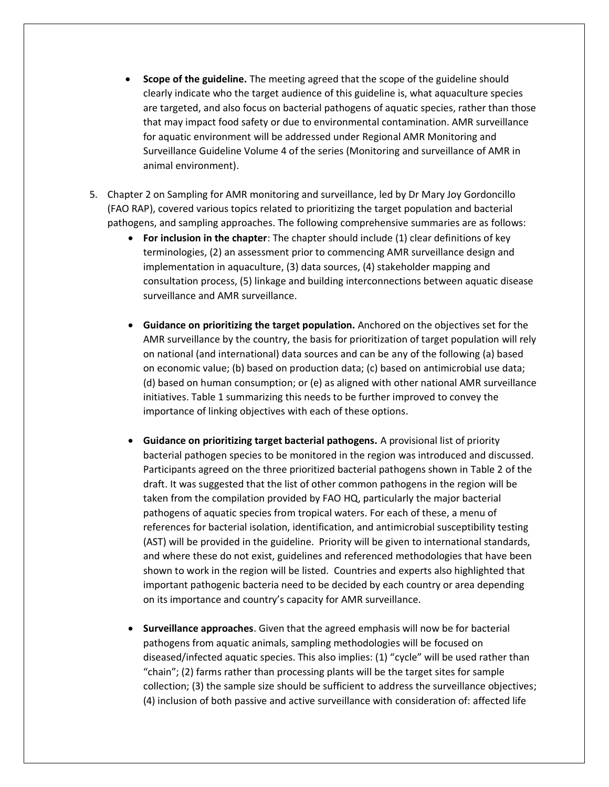- **Scope of the guideline.** The meeting agreed that the scope of the guideline should clearly indicate who the target audience of this guideline is, what aquaculture species are targeted, and also focus on bacterial pathogens of aquatic species, rather than those that may impact food safety or due to environmental contamination. AMR surveillance for aquatic environment will be addressed under Regional AMR Monitoring and Surveillance Guideline Volume 4 of the series (Monitoring and surveillance of AMR in animal environment).
- 5. Chapter 2 on Sampling for AMR monitoring and surveillance, led by Dr Mary Joy Gordoncillo (FAO RAP), covered various topics related to prioritizing the target population and bacterial pathogens, and sampling approaches. The following comprehensive summaries are as follows:
	- **For inclusion in the chapter**: The chapter should include (1) clear definitions of key terminologies, (2) an assessment prior to commencing AMR surveillance design and implementation in aquaculture, (3) data sources, (4) stakeholder mapping and consultation process, (5) linkage and building interconnections between aquatic disease surveillance and AMR surveillance.
	- **Guidance on prioritizing the target population.** Anchored on the objectives set for the AMR surveillance by the country, the basis for prioritization of target population will rely on national (and international) data sources and can be any of the following (a) based on economic value; (b) based on production data; (c) based on antimicrobial use data; (d) based on human consumption; or (e) as aligned with other national AMR surveillance initiatives. Table 1 summarizing this needs to be further improved to convey the importance of linking objectives with each of these options.
	- **Guidance on prioritizing target bacterial pathogens.** A provisional list of priority bacterial pathogen species to be monitored in the region was introduced and discussed. Participants agreed on the three prioritized bacterial pathogens shown in Table 2 of the draft. It was suggested that the list of other common pathogens in the region will be taken from the compilation provided by FAO HQ, particularly the major bacterial pathogens of aquatic species from tropical waters. For each of these, a menu of references for bacterial isolation, identification, and antimicrobial susceptibility testing (AST) will be provided in the guideline. Priority will be given to international standards, and where these do not exist, guidelines and referenced methodologies that have been shown to work in the region will be listed. Countries and experts also highlighted that important pathogenic bacteria need to be decided by each country or area depending on its importance and country's capacity for AMR surveillance.
	- **Surveillance approaches**. Given that the agreed emphasis will now be for bacterial pathogens from aquatic animals, sampling methodologies will be focused on diseased/infected aquatic species. This also implies: (1) "cycle" will be used rather than "chain"; (2) farms rather than processing plants will be the target sites for sample collection; (3) the sample size should be sufficient to address the surveillance objectives; (4) inclusion of both passive and active surveillance with consideration of: affected life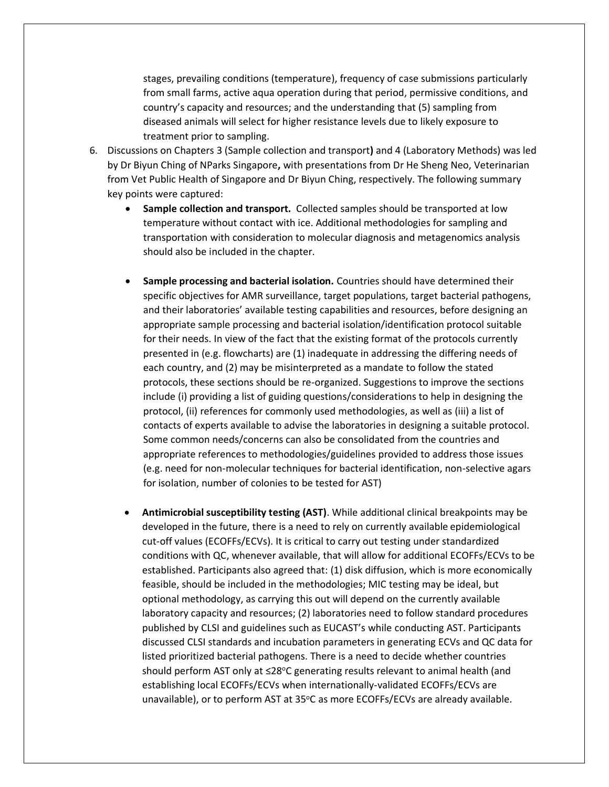stages, prevailing conditions (temperature), frequency of case submissions particularly from small farms, active aqua operation during that period, permissive conditions, and country's capacity and resources; and the understanding that (5) sampling from diseased animals will select for higher resistance levels due to likely exposure to treatment prior to sampling.

- 6. Discussions on Chapters 3 (Sample collection and transport**)** and 4 (Laboratory Methods) was led by Dr Biyun Ching of NParks Singapore**,** with presentations from Dr He Sheng Neo, Veterinarian from Vet Public Health of Singapore and Dr Biyun Ching, respectively. The following summary key points were captured:
	- **Sample collection and transport.** Collected samples should be transported at low temperature without contact with ice. Additional methodologies for sampling and transportation with consideration to molecular diagnosis and metagenomics analysis should also be included in the chapter.
	- **Sample processing and bacterial isolation.** Countries should have determined their specific objectives for AMR surveillance, target populations, target bacterial pathogens, and their laboratories' available testing capabilities and resources, before designing an appropriate sample processing and bacterial isolation/identification protocol suitable for their needs. In view of the fact that the existing format of the protocols currently presented in (e.g. flowcharts) are (1) inadequate in addressing the differing needs of each country, and (2) may be misinterpreted as a mandate to follow the stated protocols, these sections should be re-organized. Suggestions to improve the sections include (i) providing a list of guiding questions/considerations to help in designing the protocol, (ii) references for commonly used methodologies, as well as (iii) a list of contacts of experts available to advise the laboratories in designing a suitable protocol. Some common needs/concerns can also be consolidated from the countries and appropriate references to methodologies/guidelines provided to address those issues (e.g. need for non-molecular techniques for bacterial identification, non-selective agars for isolation, number of colonies to be tested for AST)
	- **Antimicrobial susceptibility testing (AST)**. While additional clinical breakpoints may be developed in the future, there is a need to rely on currently available epidemiological cut-off values (ECOFFs/ECVs). It is critical to carry out testing under standardized conditions with QC, whenever available, that will allow for additional ECOFFs/ECVs to be established. Participants also agreed that: (1) disk diffusion, which is more economically feasible, should be included in the methodologies; MIC testing may be ideal, but optional methodology, as carrying this out will depend on the currently available laboratory capacity and resources; (2) laboratories need to follow standard procedures published by CLSI and guidelines such as EUCAST's while conducting AST. Participants discussed CLSI standards and incubation parameters in generating ECVs and QC data for listed prioritized bacterial pathogens. There is a need to decide whether countries should perform AST only at  $\leq$ 28°C generating results relevant to animal health (and establishing local ECOFFs/ECVs when internationally-validated ECOFFs/ECVs are unavailable), or to perform AST at 35°C as more ECOFFs/ECVs are already available.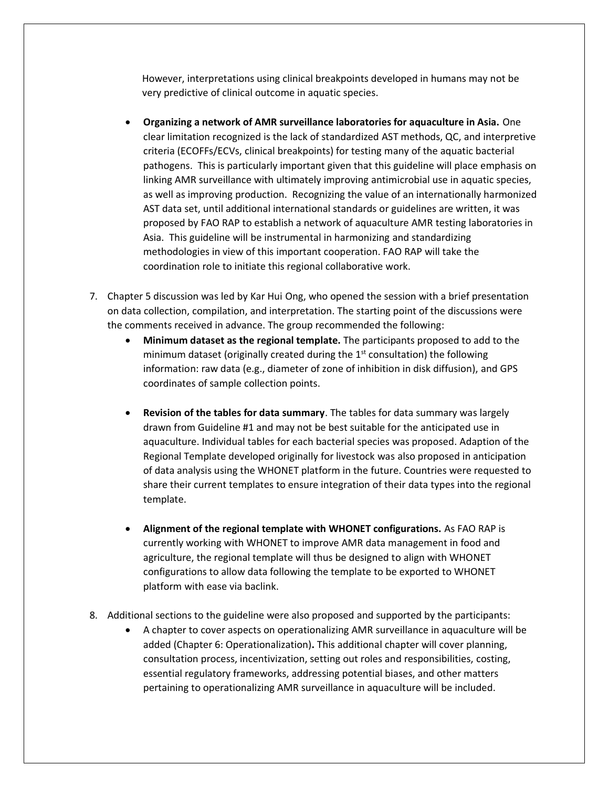However, interpretations using clinical breakpoints developed in humans may not be very predictive of clinical outcome in aquatic species.

- **Organizing a network of AMR surveillance laboratories for aquaculture in Asia.** One clear limitation recognized is the lack of standardized AST methods, QC, and interpretive criteria (ECOFFs/ECVs, clinical breakpoints) for testing many of the aquatic bacterial pathogens. This is particularly important given that this guideline will place emphasis on linking AMR surveillance with ultimately improving antimicrobial use in aquatic species, as well as improving production. Recognizing the value of an internationally harmonized AST data set, until additional international standards or guidelines are written, it was proposed by FAO RAP to establish a network of aquaculture AMR testing laboratories in Asia. This guideline will be instrumental in harmonizing and standardizing methodologies in view of this important cooperation. FAO RAP will take the coordination role to initiate this regional collaborative work.
- 7. Chapter 5 discussion was led by Kar Hui Ong, who opened the session with a brief presentation on data collection, compilation, and interpretation. The starting point of the discussions were the comments received in advance. The group recommended the following:
	- **Minimum dataset as the regional template.** The participants proposed to add to the minimum dataset (originally created during the  $1<sup>st</sup>$  consultation) the following information: raw data (e.g., diameter of zone of inhibition in disk diffusion), and GPS coordinates of sample collection points.
	- **Revision of the tables for data summary**. The tables for data summary was largely drawn from Guideline #1 and may not be best suitable for the anticipated use in aquaculture. Individual tables for each bacterial species was proposed. Adaption of the Regional Template developed originally for livestock was also proposed in anticipation of data analysis using the WHONET platform in the future. Countries were requested to share their current templates to ensure integration of their data types into the regional template.
	- **Alignment of the regional template with WHONET configurations.** As FAO RAP is currently working with WHONET to improve AMR data management in food and agriculture, the regional template will thus be designed to align with WHONET configurations to allow data following the template to be exported to WHONET platform with ease via baclink.
- 8. Additional sections to the guideline were also proposed and supported by the participants:
	- A chapter to cover aspects on operationalizing AMR surveillance in aquaculture will be added (Chapter 6: Operationalization)**.** This additional chapter will cover planning, consultation process, incentivization, setting out roles and responsibilities, costing, essential regulatory frameworks, addressing potential biases, and other matters pertaining to operationalizing AMR surveillance in aquaculture will be included.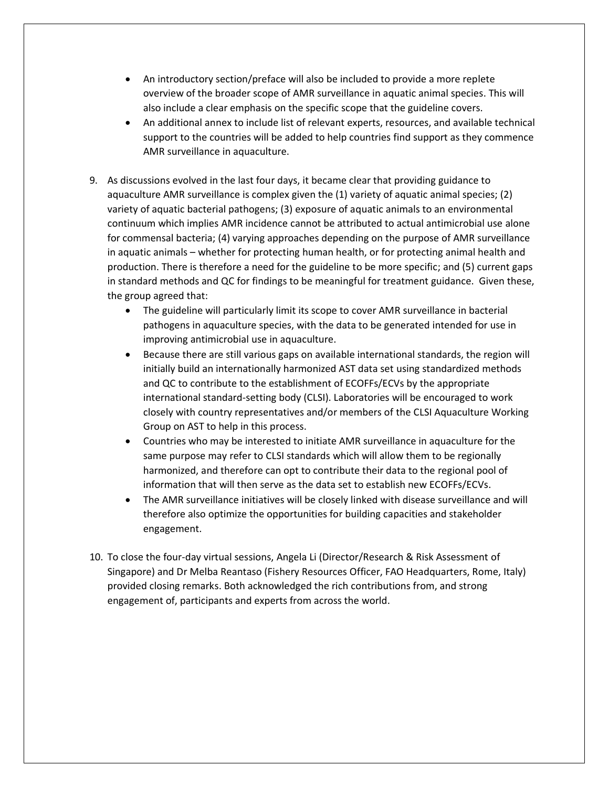- An introductory section/preface will also be included to provide a more replete overview of the broader scope of AMR surveillance in aquatic animal species. This will also include a clear emphasis on the specific scope that the guideline covers.
- An additional annex to include list of relevant experts, resources, and available technical support to the countries will be added to help countries find support as they commence AMR surveillance in aquaculture.
- 9. As discussions evolved in the last four days, it became clear that providing guidance to aquaculture AMR surveillance is complex given the (1) variety of aquatic animal species; (2) variety of aquatic bacterial pathogens; (3) exposure of aquatic animals to an environmental continuum which implies AMR incidence cannot be attributed to actual antimicrobial use alone for commensal bacteria; (4) varying approaches depending on the purpose of AMR surveillance in aquatic animals – whether for protecting human health, or for protecting animal health and production. There is therefore a need for the guideline to be more specific; and (5) current gaps in standard methods and QC for findings to be meaningful for treatment guidance. Given these, the group agreed that:
	- The guideline will particularly limit its scope to cover AMR surveillance in bacterial pathogens in aquaculture species, with the data to be generated intended for use in improving antimicrobial use in aquaculture.
	- Because there are still various gaps on available international standards, the region will initially build an internationally harmonized AST data set using standardized methods and QC to contribute to the establishment of ECOFFs/ECVs by the appropriate international standard-setting body (CLSI). Laboratories will be encouraged to work closely with country representatives and/or members of the CLSI Aquaculture Working Group on AST to help in this process.
	- Countries who may be interested to initiate AMR surveillance in aquaculture for the same purpose may refer to CLSI standards which will allow them to be regionally harmonized, and therefore can opt to contribute their data to the regional pool of information that will then serve as the data set to establish new ECOFFs/ECVs.
	- The AMR surveillance initiatives will be closely linked with disease surveillance and will therefore also optimize the opportunities for building capacities and stakeholder engagement.
- 10. To close the four-day virtual sessions, Angela Li (Director/Research & Risk Assessment of Singapore) and Dr Melba Reantaso (Fishery Resources Officer, FAO Headquarters, Rome, Italy) provided closing remarks. Both acknowledged the rich contributions from, and strong engagement of, participants and experts from across the world.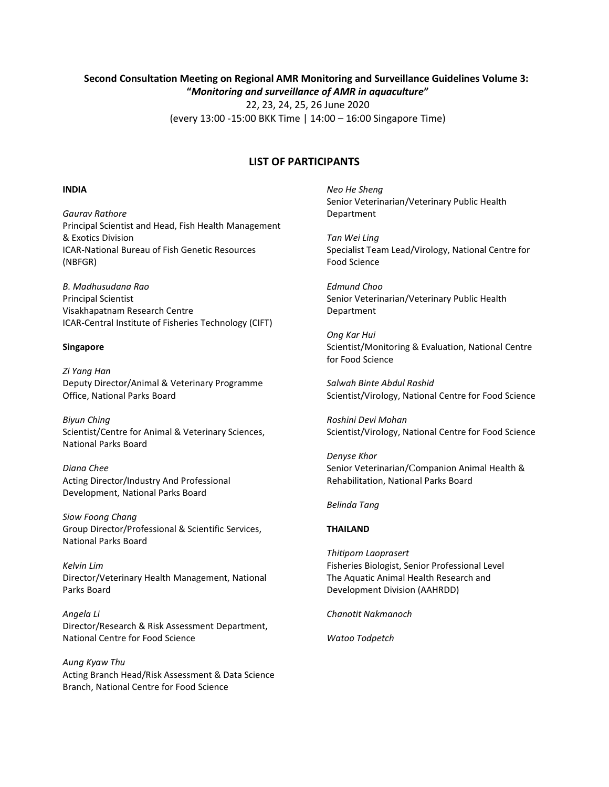# **Second Consultation Meeting on Regional AMR Monitoring and Surveillance Guidelines Volume 3: "***Monitoring and surveillance of AMR in aquaculture***"**

22, 23, 24, 25, 26 June 2020 (every 13:00 -15:00 BKK Time | 14:00 – 16:00 Singapore Time)

# **LIST OF PARTICIPANTS**

#### **INDIA**

*Gaurav Rathore* Principal Scientist and Head, Fish Health Management & Exotics Division ICAR-National Bureau of Fish Genetic Resources (NBFGR)

*B. Madhusudana Rao* Principal Scientist Visakhapatnam Research Centre ICAR-Central Institute of Fisheries Technology (CIFT)

### **Singapore**

*Zi Yang Han* Deputy Director/Animal & Veterinary Programme Office, National Parks Board

*Biyun Ching* Scientist/Centre for Animal & Veterinary Sciences, National Parks Board

*Diana Chee* Acting Director/Industry And Professional Development, National Parks Board

*Siow Foong Chang* Group Director/Professional & Scientific Services, National Parks Board

*Kelvin Lim* Director/Veterinary Health Management, National Parks Board

*Angela Li* Director/Research & Risk Assessment Department, National Centre for Food Science

*Aung Kyaw Thu* Acting Branch Head/Risk Assessment & Data Science Branch, National Centre for Food Science

*Neo He Sheng* Senior Veterinarian/Veterinary Public Health Department

*Tan Wei Ling* Specialist Team Lead/Virology, National Centre for Food Science

*Edmund Choo*  Senior Veterinarian/Veterinary Public Health Department

*Ong Kar Hui* Scientist/Monitoring & Evaluation, National Centre for Food Science

*Salwah Binte Abdul Rashid*  Scientist/Virology, National Centre for Food Science

*Roshini Devi Mohan* Scientist/Virology, National Centre for Food Science

*Denyse Khor* Senior Veterinarian/Companion Animal Health & Rehabilitation, National Parks Board

#### *Belinda Tang*

## **THAILAND**

*Thitiporn Laoprasert* Fisheries Biologist, Senior Professional Level The Aquatic Animal Health Research and Development Division (AAHRDD)

*Chanotit Nakmanoch*

*Watoo Todpetch*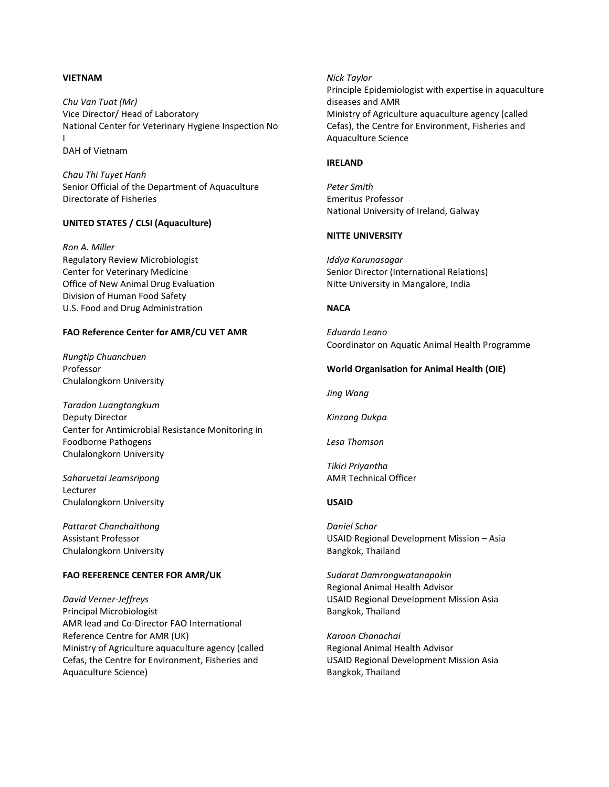## **VIETNAM**

*Chu Van Tuat (Mr)* Vice Director/ Head of Laboratory National Center for Veterinary Hygiene Inspection No I DAH of Vietnam

*Chau Thi Tuyet Hanh* Senior Official of the Department of Aquaculture Directorate of Fisheries

## **UNITED STATES / CLSI (Aquaculture)**

*Ron A. Miller* Regulatory Review Microbiologist Center for Veterinary Medicine Office of New Animal Drug Evaluation Division of Human Food Safety U.S. Food and Drug Administration

#### **FAO Reference Center for AMR/CU VET AMR**

*Rungtip Chuanchuen* Professor Chulalongkorn University

*Taradon Luangtongkum* Deputy Director Center for Antimicrobial Resistance Monitoring in Foodborne Pathogens Chulalongkorn University

*Saharuetai Jeamsripong* Lecturer Chulalongkorn University

*Pattarat Chanchaithong* Assistant Professor Chulalongkorn University

## **FAO REFERENCE CENTER FOR AMR/UK**

*David Verner-Jeffreys* Principal Microbiologist AMR lead and Co-Director FAO International Reference Centre for AMR (UK) Ministry of Agriculture aquaculture agency (called Cefas, the Centre for Environment, Fisheries and Aquaculture Science)

#### *Nick Taylor*

Principle Epidemiologist with expertise in aquaculture diseases and AMR Ministry of Agriculture aquaculture agency (called Cefas), the Centre for Environment, Fisheries and Aquaculture Science

## **IRELAND**

*Peter Smith* Emeritus Professor National University of Ireland, Galway

## **NITTE UNIVERSITY**

*Iddya Karunasagar* Senior Director (International Relations) Nitte University in Mangalore, India

#### **NACA**

*Eduardo Leano* Coordinator on Aquatic Animal Health Programme

#### **World Organisation for Animal Health (OIE)**

*Jing Wang* 

*Kinzang Dukpa*

*Lesa Thomson*

*Tikiri Priyantha* AMR Technical Officer

# **USAID**

*Daniel Schar* USAID Regional Development Mission – Asia Bangkok, Thailand

*Sudarat Damrongwatanapokin* Regional Animal Health Advisor USAID Regional Development Mission Asia Bangkok, Thailand

*Karoon Chanachai*  Regional Animal Health Advisor USAID Regional Development Mission Asia Bangkok, Thailand